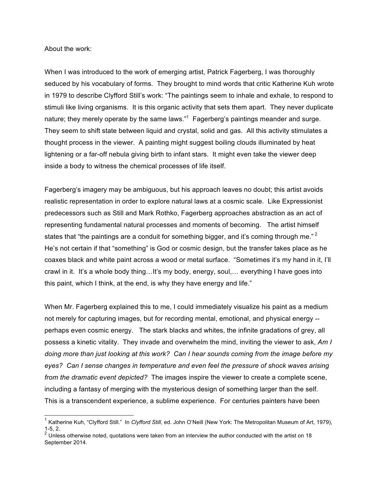About the work:

When I was introduced to the work of emerging artist, Patrick Fagerberg, I was thoroughly seduced by his vocabulary of forms. They brought to mind words that critic Katherine Kuh wrote in 1979 to describe Clyfford Still's work: "The paintings seem to inhale and exhale, to respond to stimuli like living organisms. It is this organic activity that sets them apart. They never duplicate nature; they merely operate by the same laws." $1$  Fagerberg's paintings meander and surge. They seem to shift state between liquid and crystal, solid and gas. All this activity stimulates a thought process in the viewer. A painting might suggest boiling clouds illuminated by heat lightening or a far-off nebula giving birth to infant stars. It might even take the viewer deep inside a body to witness the chemical processes of life itself.

Fagerberg's imagery may be ambiguous, but his approach leaves no doubt; this artist avoids realistic representation in order to explore natural laws at a cosmic scale. Like Expressionist predecessors such as Still and Mark Rothko, Fagerberg approaches abstraction as an act of representing fundamental natural processes and moments of becoming. The artist himself states that "the paintings are a conduit for something bigger, and it's coming through me."  $2$ He's not certain if that "something" is God or cosmic design, but the transfer takes place as he coaxes black and white paint across a wood or metal surface. "Sometimes it's my hand in it, I'll crawl in it. It's a whole body thing…It's my body, energy, soul,… everything I have goes into this paint, which I think, at the end, is why they have energy and life."

When Mr. Fagerberg explained this to me, I could immediately visualize his paint as a medium not merely for capturing images, but for recording mental, emotional, and physical energy - perhaps even cosmic energy. The stark blacks and whites, the infinite gradations of grey, all possess a kinetic vitality. They invade and overwhelm the mind, inviting the viewer to ask, *Am I doing more than just looking at this work? Can I hear sounds coming from the image before my eyes? Can I sense changes in temperature and even feel the pressure of shock waves arising from the dramatic event depicted?* The images inspire the viewer to create a complete scene, including a fantasy of merging with the mysterious design of something larger than the self. This is a transcendent experience, a sublime experience. For centuries painters have been

 <sup>1</sup> Katherine Kuh, "Clyfford Still." In *Clyfford Still*, ed. John O'Neill (New York: The Metropolitan Museum of Art, 1979), 1-5, 2.

 $2^{2}$  Unless otherwise noted, quotations were taken from an interview the author conducted with the artist on 18 September 2014.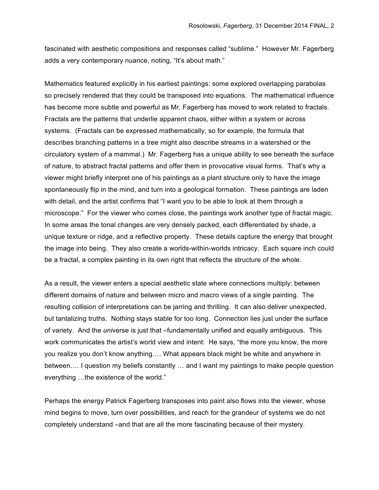fascinated with aesthetic compositions and responses called "sublime." However Mr. Fagerberg adds a very contemporary nuance, noting, "It's about math."

Mathematics featured explicitly in his earliest paintings: some explored overlapping parabolas so precisely rendered that they could be transposed into equations. The mathematical influence has become more subtle and powerful as Mr. Fagerberg has moved to work related to fractals. Fractals are the patterns that underlie apparent chaos, either within a system or across systems. (Fractals can be expressed mathematically, so for example, the formula that describes branching patterns in a tree might also describe streams in a watershed or the circulatory system of a mammal.) Mr. Fagerberg has a unique ability to see beneath the surface of nature, to abstract fractal patterns and offer them in provocative visual forms. That's why a viewer might briefly interpret one of his paintings as a plant structure only to have the image spontaneously flip in the mind, and turn into a geological formation. These paintings are laden with detail, and the artist confirms that "I want you to be able to look at them through a microscope." For the viewer who comes close, the paintings work another type of fractal magic. In some areas the tonal changes are very densely packed, each differentiated by shade, a unique texture or ridge, and a reflective property. These details capture the energy that brought the image into being. They also create a worlds-within-worlds intricacy. Each square inch could be a fractal, a complex painting in its own right that reflects the structure of the whole.

As a result, the viewer enters a special aesthetic state where connections multiply: between different domains of nature and between micro and macro views of a single painting. The resulting collision of interpretations can be jarring and thrilling. It can also deliver unexpected, but tantalizing truths. Nothing stays stable for too long. Connection lies just under the surface of variety. And the *uni*verse is just that –fundamentally unified and equally ambiguous. This work communicates the artist's world view and intent: He says, "the more you know, the more you realize you don't know anything…. What appears black might be white and anywhere in between…. I question my beliefs constantly … and I want my paintings to make people question everything …the existence of the world."

Perhaps the energy Patrick Fagerberg transposes into paint also flows into the viewer, whose mind begins to move, turn over possibilities, and reach for the grandeur of systems we do not completely understand –and that are all the more fascinating because of their mystery.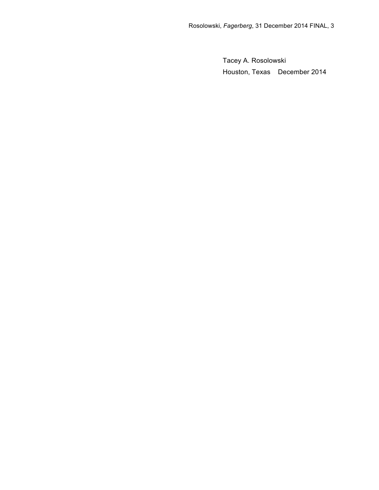Tacey A. Rosolowski Houston, Texas December 2014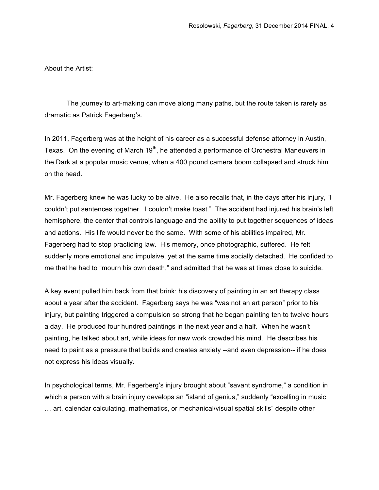About the Artist:

The journey to art-making can move along many paths, but the route taken is rarely as dramatic as Patrick Fagerberg's.

In 2011, Fagerberg was at the height of his career as a successful defense attorney in Austin, Texas. On the evening of March 19<sup>th</sup>, he attended a performance of Orchestral Maneuvers in the Dark at a popular music venue, when a 400 pound camera boom collapsed and struck him on the head.

Mr. Fagerberg knew he was lucky to be alive. He also recalls that, in the days after his injury, "I couldn't put sentences together. I couldn't make toast." The accident had injured his brain's left hemisphere, the center that controls language and the ability to put together sequences of ideas and actions. His life would never be the same. With some of his abilities impaired, Mr. Fagerberg had to stop practicing law. His memory, once photographic, suffered. He felt suddenly more emotional and impulsive, yet at the same time socially detached. He confided to me that he had to "mourn his own death," and admitted that he was at times close to suicide.

A key event pulled him back from that brink: his discovery of painting in an art therapy class about a year after the accident. Fagerberg says he was "was not an art person" prior to his injury, but painting triggered a compulsion so strong that he began painting ten to twelve hours a day. He produced four hundred paintings in the next year and a half. When he wasn't painting, he talked about art, while ideas for new work crowded his mind. He describes his need to paint as a pressure that builds and creates anxiety --and even depression-- if he does not express his ideas visually.

In psychological terms, Mr. Fagerberg's injury brought about "savant syndrome," a condition in which a person with a brain injury develops an "island of genius," suddenly "excelling in music … art, calendar calculating, mathematics, or mechanical/visual spatial skills" despite other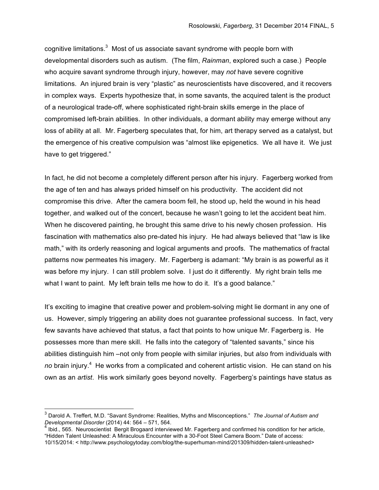cognitive limitations. $3$  Most of us associate savant syndrome with people born with developmental disorders such as autism. (The film, *Rainman*, explored such a case.) People who acquire savant syndrome through injury, however, may *not* have severe cognitive limitations. An injured brain is very "plastic" as neuroscientists have discovered, and it recovers in complex ways. Experts hypothesize that, in some savants, the acquired talent is the product of a neurological trade-off, where sophisticated right-brain skills emerge in the place of compromised left-brain abilities. In other individuals, a dormant ability may emerge without any loss of ability at all. Mr. Fagerberg speculates that, for him, art therapy served as a catalyst, but the emergence of his creative compulsion was "almost like epigenetics. We all have it. We just have to get triggered."

In fact, he did not become a completely different person after his injury. Fagerberg worked from the age of ten and has always prided himself on his productivity. The accident did not compromise this drive. After the camera boom fell, he stood up, held the wound in his head together, and walked out of the concert, because he wasn't going to let the accident beat him. When he discovered painting, he brought this same drive to his newly chosen profession. His fascination with mathematics also pre-dated his injury. He had always believed that "law is like math," with its orderly reasoning and logical arguments and proofs. The mathematics of fractal patterns now permeates his imagery. Mr. Fagerberg is adamant: "My brain is as powerful as it was before my injury. I can still problem solve. I just do it differently. My right brain tells me what I want to paint. My left brain tells me how to do it. It's a good balance."

It's exciting to imagine that creative power and problem-solving might lie dormant in any one of us. However, simply triggering an ability does not guarantee professional success. In fact, very few savants have achieved that status, a fact that points to how unique Mr. Fagerberg is. He possesses more than mere skill. He falls into the category of "talented savants," since his abilities distinguish him –not only from people with similar injuries, but *also* from individuals with no brain injury.<sup>4</sup> He works from a complicated and coherent artistic vision. He can stand on his own as an *artist*. His work similarly goes beyond novelty. Fagerberg's paintings have status as

 <sup>3</sup> Darold A. Treffert, M.D. "Savant Syndrome: Realities, Myths and Misconceptions." *The Journal of Autism and* 

*Developmental Disorder* (2014) 44: 564 – 571, 564.<br><sup>4</sup> Ibid., 565. Neuroscientist Bergit Brogaard interviewed Mr. Fagerberg and confirmed his condition for her article, "Hidden Talent Unleashed: A Miraculous Encounter with a 30-Foot Steel Camera Boom." Date of access: 10/15/2014: < http://www.psychologytoday.com/blog/the-superhuman-mind/201309/hidden-talent-unleashed>